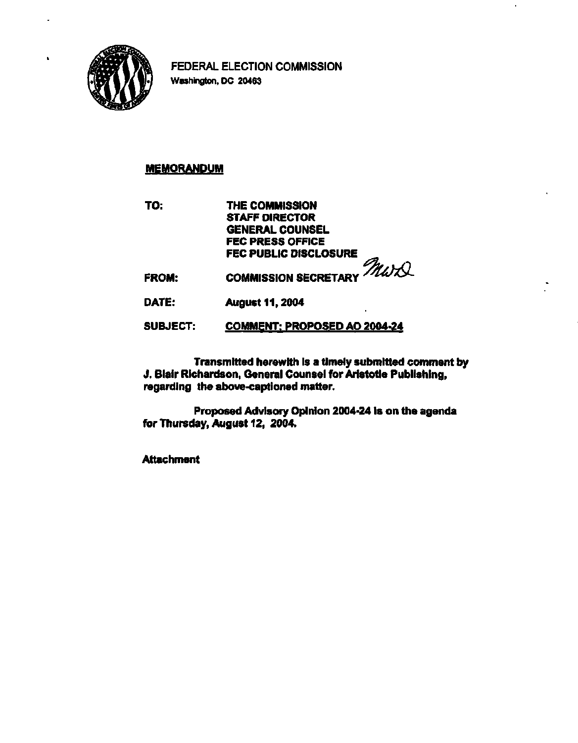

**FEDERAL ELECTION COMMISSION Washington, DC 20463** 

# **MEMORANDUM**

**TO: THE COMMISSION STAFF DIRECTOR GENERAL COUNSEL FEC PRESS OFFICE FEC PUBLIC DISCLOSURE** 

**FROM:**  COMMISSION SECRETARY *MWXX* 

**DATE: August 11,2004** 

#### **SUBJECT: COMMENT: PROPOSED AO 2004-24**

**Transmitted herewith is a timely submitted comment by J. Blair Richardson, General Counsel for Aristotle Publishing, regarding the above-captioned matter.** 

**Proposed Advisory Opinion 2004-24 Is on the agenda for Thursday, August 12, 2004.** 

**Attachment**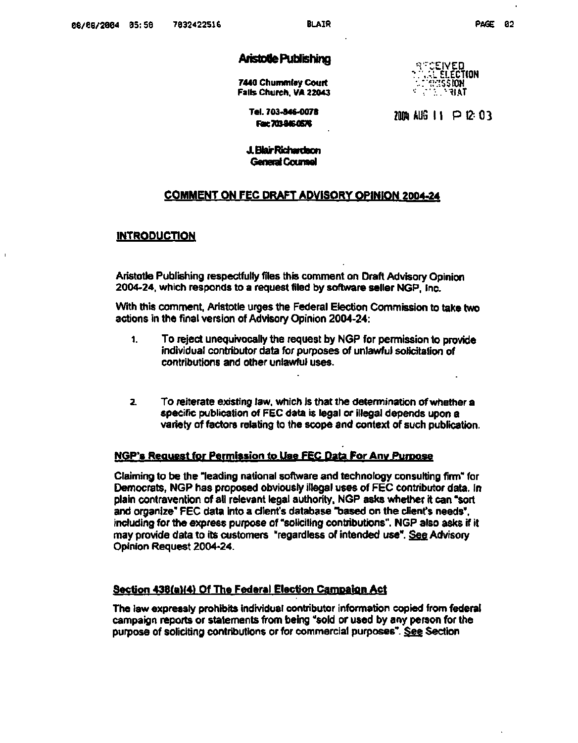# **Aristotle Publishing**

**7440 Chummley Court Falls Church. VA 22043** 

**•-r: "CEIVED \"..VL ELECTION \.: MISSION '•• •:; . "IIA T** 

**Tel. 703-846-0078 Fax 7038460576** 

**2004 AUG 11 P I2-- 0 3** 

**J. Blair Richardson General Counsel** 

## **COMMENT ON FEC DRAFT ADVISORY OPINION 2004-24**

#### **INTRODUCTION**

 $\mathbf{I}$ 

**Aristotle Publishing respectfully files this comment on Draft Advisory Opinion 2004-24, which responds to a request filed by software seller NGP, Inc.** 

**With this comment, Aristotle urges the Federal Election Commission to take two actions in the final version of Advisory Opinion 2004-24:** 

- **1. To reject unequivocally the request by NGP for permission to provide individual contributor data for purposes of unlawful solicitation of contributions and other unlawful uses.**
- **2. To reiterate existing law, which is that the determination of whether a specific publication of FEC data is legal or illegal depends upon a variety of factors relating to the scope and context of such publication.**

#### **NGP's Request for Permission to Use FEC Data For Any Purpose**

**Claiming to be the "leading national software and technology consulting firm" for Democrats, NGP has proposed obviously illegal uses of FEC contributor data. In plain contravention of all relevant legal authority, NGP asks whether it can "sort and organize" FEC data into a client's database "based on the client's needs", including for the express purpose of "soliciting contributions". NGP also asks if it may provide data to its customers "regardless of intended use". See Advisory Opinion Request 2004-24.** 

#### **Section 438(a)(4) Of The Federal Election Campaign Act**

**The law expressly prohibits individual contributor information copied from federal campaign reports or statements from being "sold or used by any person for the purpose of soliciting contributions or for commercial purposes". See Section**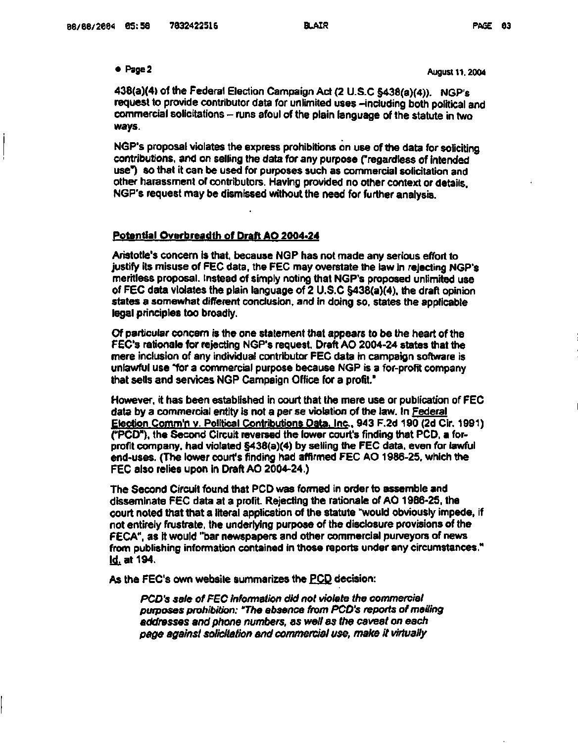# **• <sup>p</sup> a g<sup>e</sup>**

 **2 August 11.2004** 

**438(a)(4) of the Federal Election Campaign Act (2 U.S.C §438(a)(4)). NGP's**  request to provide contributor data for unlimited uses -including both political and **commercial solicitations - runs afoul of the plain language of the statute in two ways.** 

**NGP's proposal violates the express prohibitions on use of the data for soliciting contributions, and on selling the data for any purpose ("regardless of intended use") so that it can be used for purposes such as commercial solicitation and other harassment of contributors. Having provided no other context or details. NGP's request may be dismissed without the need for further analysis.** 

#### **Potential Overbreadth of Draft AO 2004-24**

**Aristotle's concern is that, because NGP has not made any serious effort to justify its misuse of FEC data, the FEC may overstate the law in rejecting NGP's mer'rtless proposal. Instead of simply noting that NGP's proposed unlimited use of FEC data violates the plain language of 2 U.S.C §438(a)(4), the draft opinion states a somewhat different conclusion, and in doing so, states the applicable legal principles too broadly.** 

**Of particular concern is the one statement that appears to be the heart of the FEC's rationale for rejecting NGP's request. Draft AO 2004-24 states that the mere inclusion of any individual contributor FEC data in campaign software is unlawful use "for a commercial purpose because NGP is a for-profit company that sells and services NGP Campaign Office for a profit."** 

**However, it has been established in court that the mere use or publication of FEC data by a commercial entity is not a per se violation of the law. In Federal Election Comm'n v. Political Contributions Data. Inc.. 943 F.2d 190 (2d Cir. 1991) ("PCD"), the Second Circuit reversed the lower court's finding that PCD, a forprofit company, had violated §438(a)(4) by selling the FEC data, even for lawful end-uses. (The lower court's finding had affirmed FEC AO 1986-25, which the FEC also relies upon in Draft AO 2004-24.)** 

**The Second Circuit found that PCD was formed in order to assemble and disseminate FEC data at a profit. Rejecting the rationale of AO 1986-25, the court noted that that a literal application of the statute "would obviously impede, if not entirely frustrate, the underlying purpose of the disclosure provisions of the FECA", as it would "bar newspapers and other commercial purveyors of news from publishing information contained in those reports under any circumstances." id. at 194.** 

**As the FEC's own website summarizes the PCD decision:** 

**PCD's sale of FEC information did not violate the commercial purposes prohibition: "The absence from PCD's reports of mailing addresses and phone numbers, as well as the caveat on each page against solicitation and commercial use, make it virtually**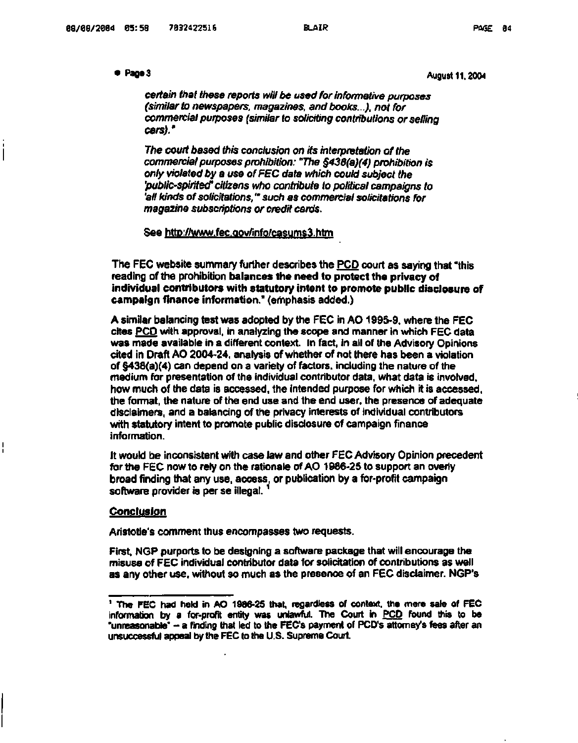### ● Pageミ

August 11.2004

**certain that these reports will be used for informative purposes (similar to newspapers, magazines, and books...), not for commercial purposes (similar to soliciting contributions or selling cars)."** 

**The court based this conclusion on its interpretation of the commercial purposes prohibition: "The §438(a)(4) prohibition is only violated by a use of FEC data which could subject the 'public-spirited' citizens who contribute to political campaigns to 'all kinds of solicitations,'" such as commercial solicitations for magazine subscriptions or credit cards.** 

See <http://www.fec.Qov/info/casums3.htm>

The FEC website summary further describes the PCD court as saying that "this reading of the prohibition **balances the need to protect the privacy of individual contributors with statutory intent to promote public disclosure of campaign finance information."** (emphasis added.)

A similar balancing test was adopted by the FEC in AO 1995-9, where the FEC cites PCD with approval, in analyzing the scope and manner in which FEC data was made available in a different context. In fact, in all of the Advisory Opinions cited in Draft AO 2004-24. analysis of whether of not there has been a violation of §438(a)(4) can depend on a variety of factors, including the nature of the medium for presentation of the individual contributor data, what data is involved, how much of the data is accessed, the intended purpose for which it is accessed. the format, the nature of the end use and the end user, the presence of adequate disclaimers, and a balancing of the privacy interests of individual contributors with statutory intent to promote public disclosure of campaign finance information.

It would be inconsistent with case law and other FEC Advisory Opinion precedent for the FEC now to rely on the rationale of AO 1986-25 to support an overly broad finding that any use, access, or publication by a for-profit campaign software provider is per se illegal.

#### **Conclusion**

Aristotle's comment thus encompasses two requests.

First, NGP purports to be designing a software package that will encourage the misuse of FEC individual contributor data for solicitation of contributions as well as any other use, without so much as the presence of an FEC disclaimer. NGP's

<sup>1</sup> The FEC had held in AO 1986-25 that, regardless of context, the mere sale of FEC information by a for-profit entity was unlawful. The Court in PCD found this to be "unreasonable" - a finding that led to the FEC's payment of PCD's attorney's fees after an unsuccessful appeal by the FEC to the U.S. Supreme Court.